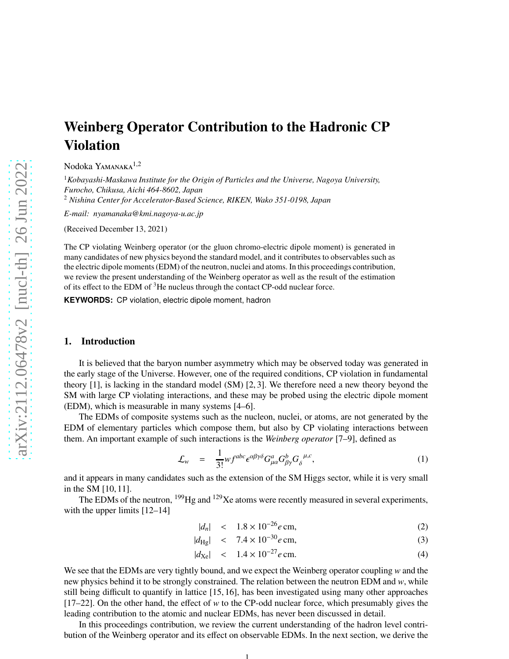# Weinberg Operator Contribution to the Hadronic CP Violation

Nodoka Yamanaka $\rm ^{1,2}$ 

<sup>1</sup>*Kobayashi-Maskawa Institute for the Origin of Particles and the Universe, Nagoya University, Furocho, Chikusa, Aichi 464-8602, Japan*

<sup>2</sup> *Nishina Center for Accelerator-Based Science, RIKEN, Wako 351-0198, Japan*

*E-mail: nyamanaka@kmi.nagoya-u.ac.jp*

(Received December 13, 2021)

The CP violating Weinberg operator (or the gluon chromo-electric dipole moment) is generated in many candidates of new physics beyond the standard model, and it contributes to observables such as the electric dipole moments (EDM) of the neutron, nuclei and atoms. In this proceedings contribution, we review the present understanding of the Weinberg operator as well as the result of the estimation of its effect to the EDM of  $3$ He nucleus through the contact CP-odd nuclear force.

**KEYWORDS:** CP violation, electric dipole moment, hadron

#### 1. Introduction

It is believed that the baryon number asymmetry which may be observed today was generated in the early stage of the Universe. However, one of the required conditions, CP violation in fundamental theory [1], is lacking in the standard model (SM) [2, 3]. We therefore need a new theory beyond the SM with large CP violating interactions, and these may be probed using the electric dipole moment (EDM), which is measurable in many systems [4–6].

The EDMs of composite systems such as the nucleon, nuclei, or atoms, are not generated by the EDM of elementary particles which compose them, but also by CP violating interactions between them. An important example of such interactions is the *Weinberg operator* [7–9], defined as

$$
\mathcal{L}_w = \frac{1}{3!} w f^{abc} \epsilon^{\alpha \beta \gamma \delta} G^a_{\mu \alpha} G^b_{\beta \gamma} G_{\delta}^{\ \mu, c}, \qquad (1)
$$

and it appears in many candidates such as the extension of the SM Higgs sector, while it is very small in the SM [10, 11].

The EDMs of the neutron, <sup>199</sup>Hg and <sup>129</sup>Xe atoms were recently measured in several experiments, with the upper limits [12–14]

$$
|d_n| < 1.8 \times 10^{-26} e \, \text{cm}, \tag{2}
$$

$$
|d_{\text{Hg}}| < 7.4 \times 10^{-30} e \,\text{cm}, \tag{3}
$$

$$
|d_{\text{Xe}}| \quad < \quad 1.4 \times 10^{-27} e \, \text{cm.} \tag{4}
$$

We see that the EDMs are very tightly bound, and we expect the Weinberg operator coupling *w* and the new physics behind it to be strongly constrained. The relation between the neutron EDM and *w*, while still being difficult to quantify in lattice [15, 16], has been investigated using many other approaches [17–22]. On the other hand, the effect of *w* to the CP-odd nuclear force, which presumably gives the leading contribution to the atomic and nuclear EDMs, has never been discussed in detail.

In this proceedings contribution, we review the current understanding of the hadron level contribution of the Weinberg operator and its effect on observable EDMs. In the next section, we derive the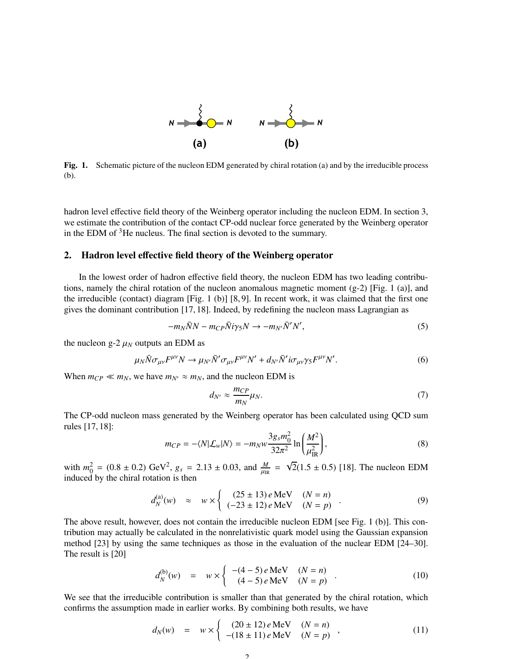

Fig. 1. Schematic picture of the nucleon EDM generated by chiral rotation (a) and by the irreducible process (b).

hadron level effective field theory of the Weinberg operator including the nucleon EDM. In section 3, we estimate the contribution of the contact CP-odd nuclear force generated by the Weinberg operator in the EDM of  $3$ He nucleus. The final section is devoted to the summary.

### 2. Hadron level effective field theory of the Weinberg operator

In the lowest order of hadron effective field theory, the nucleon EDM has two leading contributions, namely the chiral rotation of the nucleon anomalous magnetic moment  $(g-2)$  [Fig. 1 (a)], and the irreducible (contact) diagram [Fig. 1 (b)] [8, 9]. In recent work, it was claimed that the first one gives the dominant contribution [17, 18]. Indeed, by redefining the nucleon mass Lagrangian as

$$
-m_N\bar{N}N - m_{CP}\bar{N}i\gamma_5N \to -m_{N'}\bar{N}'N',\tag{5}
$$

the nucleon  $g-2 \mu_N$  outputs an EDM as

$$
\mu_N \bar{N} \sigma_{\mu\nu} F^{\mu\nu} N \to \mu_{N'} \bar{N}' \sigma_{\mu\nu} F^{\mu\nu} N' + d_{N'} \bar{N}' i \sigma_{\mu\nu} \gamma_5 F^{\mu\nu} N'.
$$
 (6)

When  $m_{CP} \ll m_N$ , we have  $m_{N'} \approx m_N$ , and the nucleon EDM is

$$
d_{N'} \approx \frac{m_{CP}}{m_N} \mu_N. \tag{7}
$$

The CP-odd nucleon mass generated by the Weinberg operator has been calculated using QCD sum rules [17, 18]:

$$
m_{CP} = -\langle N | \mathcal{L}_w | N \rangle = -m_N w \frac{3g_s m_0^2}{32\pi^2} \ln \left( \frac{M^2}{\mu_{IR}^2} \right),\tag{8}
$$

with  $m_0^2 = (0.8 \pm 0.2) \text{ GeV}^2$ ,  $g_s = 2.13 \pm 0.03$ , and  $\frac{M}{\mu_R} = \sqrt{2}(1.5 \pm 0.5)$  [18]. The nucleon EDM induced by the chiral rotation is then

$$
d_N^{(a)}(w) \approx w \times \begin{cases} (25 \pm 13) e \text{ MeV} & (N = n) \\ (-23 \pm 12) e \text{ MeV} & (N = p) \end{cases} . \tag{9}
$$

The above result, however, does not contain the irreducible nucleon EDM [see Fig. 1 (b)]. This contribution may actually be calculated in the nonrelativistic quark model using the Gaussian expansion method [23] by using the same techniques as those in the evaluation of the nuclear EDM [24–30]. The result is [20]

$$
d_N^{(b)}(w) = w \times \begin{cases} -(4-5) e \text{ MeV} & (N = n) \\ (4-5) e \text{ MeV} & (N = p) \end{cases}
$$
 (10)

We see that the irreducible contribution is smaller than that generated by the chiral rotation, which confirms the assumption made in earlier works. By combining both results, we have

$$
d_N(w) = w \times \begin{cases} (20 \pm 12) e \text{ MeV} & (N = n) \\ -(18 \pm 11) e \text{ MeV} & (N = p) \end{cases},
$$
 (11)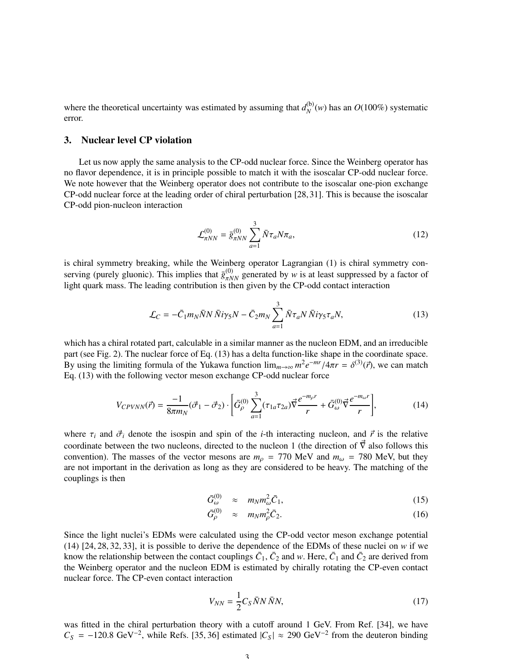where the theoretical uncertainty was estimated by assuming that  $d_N^{(b)}$  $N^{(0)}(w)$  has an  $O(100\%)$  systematic error.

#### 3. Nuclear level CP violation

Let us now apply the same analysis to the CP-odd nuclear force. Since the Weinberg operator has no flavor dependence, it is in principle possible to match it with the isoscalar CP-odd nuclear force. We note however that the Weinberg operator does not contribute to the isoscalar one-pion exchange CP-odd nuclear force at the leading order of chiral perturbation [28, 31]. This is because the isoscalar CP-odd pion-nucleon interaction

$$
\mathcal{L}_{\pi NN}^{(0)} = \bar{g}_{\pi NN}^{(0)} \sum_{a=1}^{3} \bar{N} \tau_a N \pi_a,
$$
\n(12)

is chiral symmetry breaking, while the Weinberg operator Lagrangian (1) is chiral symmetry conserving (purely gluonic). This implies that  $\bar{g}^{(0)}_{\pi NN}$  generated by *w* is at least suppressed by a factor of light quark mass. The leading contribution is then given by the CP-odd contact interaction

$$
\mathcal{L}_C = -\bar{C}_1 m_N \bar{N} N \bar{N} i\gamma_5 N - \bar{C}_2 m_N \sum_{a=1}^3 \bar{N} \tau_a N \bar{N} i\gamma_5 \tau_a N, \qquad (13)
$$

which has a chiral rotated part, calculable in a similar manner as the nucleon EDM, and an irreducible part (see Fig. 2). The nuclear force of Eq. (13) has a delta function-like shape in the coordinate space. By using the limiting formula of the Yukawa function  $\lim_{m\to\infty} m^2 e^{-mr}/4\pi r = \delta^{(3)}(\vec{r})$ , we can match Eq. (13) with the following vector meson exchange CP-odd nuclear force

$$
V_{CPVNN}(\vec{r}) = \frac{-1}{8\pi m_N} (\vec{\sigma}_1 - \vec{\sigma}_2) \cdot \left[ \bar{G}_{\rho}^{(0)} \sum_{a=1}^3 (\tau_{1a} \tau_{2a}) \vec{\nabla} \frac{e^{-m_\rho r}}{r} + \bar{G}_{\omega}^{(0)} \vec{\nabla} \frac{e^{-m_\omega r}}{r} \right],
$$
(14)

where  $\tau_i$  and  $\vec{\sigma}_i$  denote the isospin and spin of the *i*-th interacting nucleon, and  $\vec{r}$  is the relative coordinate between the two nucleons, directed to the nucleon 1 (the direction of  $\vec{\nabla}$  also follows this convention). The masses of the vector mesons are  $m_\rho$  = 770 MeV and  $m_\omega$  = 780 MeV, but they are not important in the derivation as long as they are considered to be heavy. The matching of the couplings is then

$$
\bar{G}_{\omega}^{(0)} \approx m_N m_{\omega}^2 \bar{C}_1,\tag{15}
$$

$$
\bar{G}_{\rho}^{(0)} \approx m_N m_{\rho}^2 \bar{C}_2. \tag{16}
$$

Since the light nuclei's EDMs were calculated using the CP-odd vector meson exchange potential (14) [24, 28, 32, 33], it is possible to derive the dependence of the EDMs of these nuclei on *w* if we know the relationship between the contact couplings  $\bar{C}_1$ ,  $\bar{C}_2$  and *w*. Here,  $\bar{C}_1$  and  $\bar{C}_2$  are derived from the Weinberg operator and the nucleon EDM is estimated by chirally rotating the CP-even contact nuclear force. The CP-even contact interaction

$$
V_{NN} = \frac{1}{2} C_S \bar{N} N \bar{N} N, \qquad (17)
$$

was fitted in the chiral perturbation theory with a cutoff around 1 GeV. From Ref. [34], we have  $C_S = -120.8 \text{ GeV}^{-2}$ , while Refs. [35, 36] estimated  $|C_S| \approx 290 \text{ GeV}^{-2}$  from the deuteron binding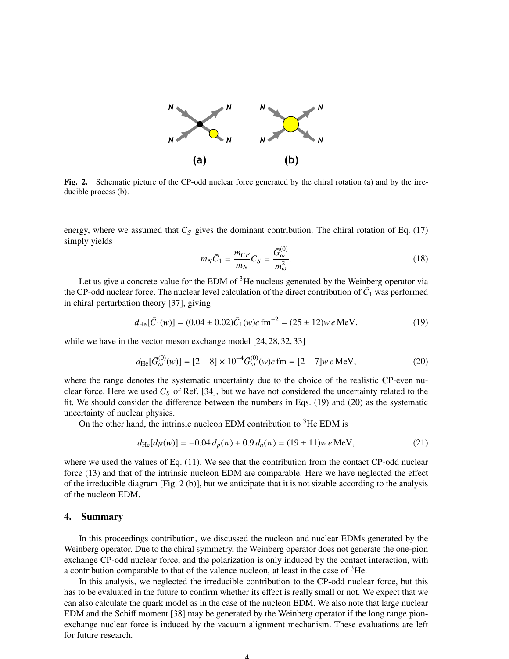

Fig. 2. Schematic picture of the CP-odd nuclear force generated by the chiral rotation (a) and by the irreducible process (b).

energy, where we assumed that  $C_S$  gives the dominant contribution. The chiral rotation of Eq. (17) simply yields

$$
m_N \bar{C}_1 = \frac{m_{CP}}{m_N} C_S = \frac{\bar{G}_{\omega}^{(0)}}{m_{\omega}^2}.
$$
\n(18)

Let us give a concrete value for the EDM of  $3$ He nucleus generated by the Weinberg operator via the CP-odd nuclear force. The nuclear level calculation of the direct contribution of  $\bar{C}_1$  was performed in chiral perturbation theory [37], giving

$$
d_{\text{He}}[\bar{C}_1(w)] = (0.04 \pm 0.02)\bar{C}_1(w)e \,\text{fm}^{-2} = (25 \pm 12)w \, e \,\text{MeV},\tag{19}
$$

while we have in the vector meson exchange model [24, 28, 32, 33]

$$
d_{\text{He}}[\bar{G}_{\omega}^{(0)}(w)] = [2 - 8] \times 10^{-4} \bar{G}_{\omega}^{(0)}(w)e \,\text{fm} = [2 - 7]w \, e \,\text{MeV},\tag{20}
$$

where the range denotes the systematic uncertainty due to the choice of the realistic CP-even nuclear force. Here we used *C<sup>S</sup>* of Ref. [34], but we have not considered the uncertainty related to the fit. We should consider the difference between the numbers in Eqs. (19) and (20) as the systematic uncertainty of nuclear physics.

On the other hand, the intrinsic nucleon EDM contribution to  ${}^{3}$ He EDM is

$$
d_{\text{He}}[d_N(w)] = -0.04 \, d_p(w) + 0.9 \, d_n(w) = (19 \pm 11) w \, e \, \text{MeV},\tag{21}
$$

where we used the values of Eq. (11). We see that the contribution from the contact CP-odd nuclear force (13) and that of the intrinsic nucleon EDM are comparable. Here we have neglected the effect of the irreducible diagram [Fig. 2 (b)], but we anticipate that it is not sizable according to the analysis of the nucleon EDM.

## 4. Summary

In this proceedings contribution, we discussed the nucleon and nuclear EDMs generated by the Weinberg operator. Due to the chiral symmetry, the Weinberg operator does not generate the one-pion exchange CP-odd nuclear force, and the polarization is only induced by the contact interaction, with a contribution comparable to that of the valence nucleon, at least in the case of  ${}^{3}$ He.

In this analysis, we neglected the irreducible contribution to the CP-odd nuclear force, but this has to be evaluated in the future to confirm whether its effect is really small or not. We expect that we can also calculate the quark model as in the case of the nucleon EDM. We also note that large nuclear EDM and the Schiff moment [38] may be generated by the Weinberg operator if the long range pionexchange nuclear force is induced by the vacuum alignment mechanism. These evaluations are left for future research.